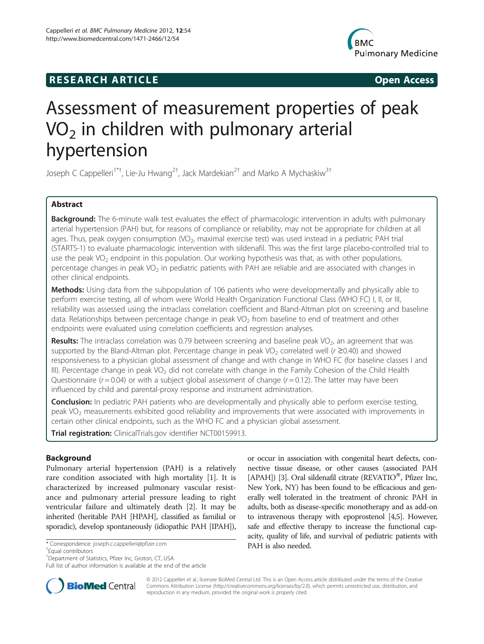## **RESEARCH ARTICLE Example 2018 12:00 Open Access**



# Assessment of measurement properties of peak  $VO<sub>2</sub>$  in children with pulmonary arterial hypertension

Joseph C Cappelleri<sup>1\*†</sup>, Lie-Ju Hwang<sup>2†</sup>, Jack Mardekian<sup>2†</sup> and Marko A Mychaskiw<sup>3†</sup>

## Abstract

Background: The 6-minute walk test evaluates the effect of pharmacologic intervention in adults with pulmonary arterial hypertension (PAH) but, for reasons of compliance or reliability, may not be appropriate for children at all ages. Thus, peak oxygen consumption  $(VO<sub>2</sub>,$  maximal exercise test) was used instead in a pediatric PAH trial (STARTS-1) to evaluate pharmacologic intervention with sildenafil. This was the first large placebo-controlled trial to use the peak VO<sub>2</sub> endpoint in this population. Our working hypothesis was that, as with other populations, percentage changes in peak VO<sub>2</sub> in pediatric patients with PAH are reliable and are associated with changes in other clinical endpoints.

Methods: Using data from the subpopulation of 106 patients who were developmentally and physically able to perform exercise testing, all of whom were World Health Organization Functional Class (WHO FC) I, II, or III, reliability was assessed using the intraclass correlation coefficient and Bland-Altman plot on screening and baseline data. Relationships between percentage change in peak VO<sub>2</sub> from baseline to end of treatment and other endpoints were evaluated using correlation coefficients and regression analyses.

Results: The intraclass correlation was 0.79 between screening and baseline peak VO<sub>2</sub>, an agreement that was supported by the Bland-Altman plot. Percentage change in peak VO<sub>2</sub> correlated well (r ≥0.40) and showed responsiveness to a physician global assessment of change and with change in WHO FC (for baseline classes I and III). Percentage change in peak VO<sub>2</sub> did not correlate with change in the Family Cohesion of the Child Health Questionnaire ( $r = 0.04$ ) or with a subject global assessment of change ( $r = 0.12$ ). The latter may have been influenced by child and parental-proxy response and instrument administration.

Conclusion: In pediatric PAH patients who are developmentally and physically able to perform exercise testing, peak VO<sub>2</sub> measurements exhibited good reliability and improvements that were associated with improvements in certain other clinical endpoints, such as the WHO FC and a physician global assessment.

Trial registration: ClinicalTrials.gov identifier NCT00159913.

## Background

Pulmonary arterial hypertension (PAH) is a relatively rare condition associated with high mortality [[1\]](#page-7-0). It is characterized by increased pulmonary vascular resistance and pulmonary arterial pressure leading to right ventricular failure and ultimately death [[2](#page-7-0)]. It may be inherited (heritable PAH [HPAH], classified as familial or sporadic), develop spontaneously (idiopathic PAH [IPAH]),

<sup>+</sup>Fqual contributors

or occur in association with congenital heart defects, connective tissue disease, or other causes (associated PAH [APAH]) [[3](#page-7-0)]. Oral sildenafil citrate (REVATIO<sup>®</sup>, Pfizer Inc, New York, NY) has been found to be efficacious and generally well tolerated in the treatment of chronic PAH in adults, both as disease-specific monotherapy and as add-on to intravenous therapy with epoprostenol [\[4,5](#page-8-0)]. However, safe and effective therapy to increase the functional capacity, quality of life, and survival of pediatric patients with



© 2012 Cappelleri et al.; licensee BioMed Central Ltd. This is an Open Access article distributed under the terms of the Creative Commons Attribution License [\(http://creativecommons.org/licenses/by/2.0\)](http://creativecommons.org/licenses/by/2.0), which permits unrestricted use, distribution, and reproduction in any medium, provided the original work is properly cited.

<sup>\*</sup> Correspondence: [joseph.c.cappelleri@pfizer.com](mailto:joseph.c.cappelleri@pfizer.com) **\*** PAH is also needed.

<sup>&</sup>lt;sup>1</sup>Department of Statistics, Pfizer Inc, Groton, CT, USA

Full list of author information is available at the end of the article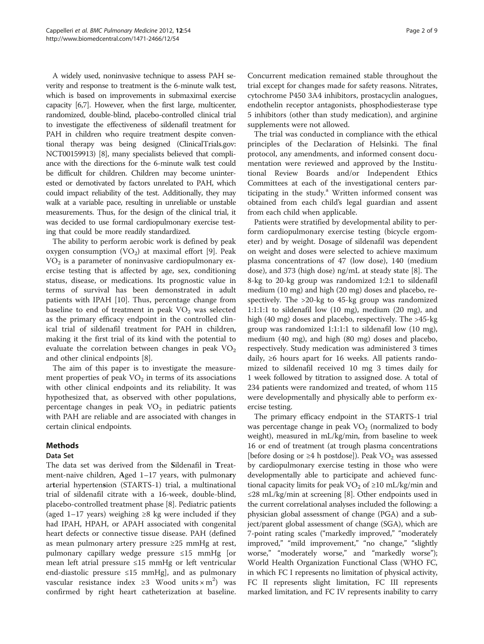A widely used, noninvasive technique to assess PAH severity and response to treatment is the 6-minute walk test, which is based on improvements in submaximal exercise capacity [\[6,7\]](#page-8-0). However, when the first large, multicenter, randomized, double-blind, placebo-controlled clinical trial to investigate the effectiveness of sildenafil treatment for PAH in children who require treatment despite conventional therapy was being designed (ClinicalTrials.gov: NCT00159913) [\[8](#page-8-0)], many specialists believed that compliance with the directions for the 6-minute walk test could be difficult for children. Children may become uninterested or demotivated by factors unrelated to PAH, which could impact reliability of the test. Additionally, they may walk at a variable pace, resulting in unreliable or unstable measurements. Thus, for the design of the clinical trial, it was decided to use formal cardiopulmonary exercise testing that could be more readily standardized.

The ability to perform aerobic work is defined by peak oxygen consumption  $(VO_2)$  at maximal effort [[9\]](#page-8-0). Peak  $VO<sub>2</sub>$  is a parameter of noninvasive cardiopulmonary exercise testing that is affected by age, sex, conditioning status, disease, or medications. Its prognostic value in terms of survival has been demonstrated in adult patients with IPAH [\[10](#page-8-0)]. Thus, percentage change from baseline to end of treatment in peak  $VO<sub>2</sub>$  was selected as the primary efficacy endpoint in the controlled clinical trial of sildenafil treatment for PAH in children, making it the first trial of its kind with the potential to evaluate the correlation between changes in peak  $VO<sub>2</sub>$ and other clinical endpoints [[8](#page-8-0)].

The aim of this paper is to investigate the measurement properties of peak  $VO<sub>2</sub>$  in terms of its associations with other clinical endpoints and its reliability. It was hypothesized that, as observed with other populations, percentage changes in peak  $VO<sub>2</sub>$  in pediatric patients with PAH are reliable and are associated with changes in certain clinical endpoints.

## Methods

## Data Set

The data set was derived from the Sildenafil in Treatment-naive children, Aged 1–17 years, with pulmonary arterial hypertension (STARTS-1) trial, a multinational trial of sildenafil citrate with a 16-week, double-blind, placebo-controlled treatment phase [\[8\]](#page-8-0). Pediatric patients (aged 1–17 years) weighing ≥8 kg were included if they had IPAH, HPAH, or APAH associated with congenital heart defects or connective tissue disease. PAH (defined as mean pulmonary artery pressure ≥25 mmHg at rest, pulmonary capillary wedge pressure ≤15 mmHg [or mean left atrial pressure ≤15 mmHg or left ventricular end-diastolic pressure ≤15 mmHg], and as pulmonary vascular resistance index  $\geq$ 3 Wood units  $\times$  m<sup>2</sup>) was confirmed by right heart catheterization at baseline.

Concurrent medication remained stable throughout the trial except for changes made for safety reasons. Nitrates, cytochrome P450 3A4 inhibitors, prostacyclin analogues, endothelin receptor antagonists, phosphodiesterase type 5 inhibitors (other than study medication), and arginine supplements were not allowed.

The trial was conducted in compliance with the ethical principles of the Declaration of Helsinki. The final protocol, any amendments, and informed consent documentation were reviewed and approved by the Institutional Review Boards and/or Independent Ethics Committees at each of the investigational centers participating in the study.<sup>a</sup> Written informed consent was obtained from each child's legal guardian and assent from each child when applicable.

Patients were stratified by developmental ability to perform cardiopulmonary exercise testing (bicycle ergometer) and by weight. Dosage of sildenafil was dependent on weight and doses were selected to achieve maximum plasma concentrations of 47 (low dose), 140 (medium dose), and 373 (high dose) ng/mL at steady state [\[8](#page-8-0)]. The 8-kg to 20-kg group was randomized 1:2:1 to sildenafil medium (10 mg) and high (20 mg) doses and placebo, respectively. The >20-kg to 45-kg group was randomized 1:1:1:1 to sildenafil low (10 mg), medium (20 mg), and high (40 mg) doses and placebo, respectively. The >45-kg group was randomized 1:1:1:1 to sildenafil low (10 mg), medium (40 mg), and high (80 mg) doses and placebo, respectively. Study medication was administered 3 times daily, ≥6 hours apart for 16 weeks. All patients randomized to sildenafil received 10 mg 3 times daily for 1 week followed by titration to assigned dose. A total of 234 patients were randomized and treated, of whom 115 were developmentally and physically able to perform exercise testing.

The primary efficacy endpoint in the STARTS-1 trial was percentage change in peak  $VO<sub>2</sub>$  (normalized to body weight), measured in mL/kg/min, from baseline to week 16 or end of treatment (at trough plasma concentrations [before dosing or  $\geq 4$  h postdose]). Peak VO<sub>2</sub> was assessed by cardiopulmonary exercise testing in those who were developmentally able to participate and achieved functional capacity limits for peak  $VO<sub>2</sub>$  of  $\geq 10$  mL/kg/min and ≤28 mL/kg/min at screening [[8](#page-8-0)]. Other endpoints used in the current correlational analyses included the following: a physician global assessment of change (PGA) and a subject/parent global assessment of change (SGA), which are 7-point rating scales ("markedly improved," "moderately improved," "mild improvement," "no change," "slightly worse," "moderately worse," and "markedly worse"); World Health Organization Functional Class (WHO FC, in which FC I represents no limitation of physical activity, FC II represents slight limitation, FC III represents marked limitation, and FC IV represents inability to carry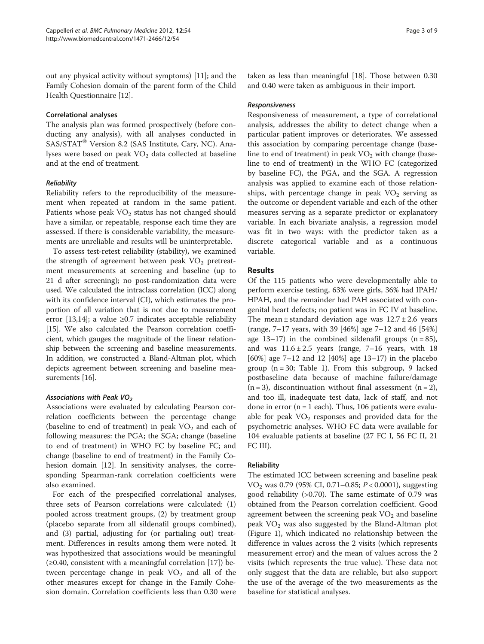out any physical activity without symptoms) [[11](#page-8-0)]; and the Family Cohesion domain of the parent form of the Child Health Questionnaire [[12](#page-8-0)].

## Correlational analyses

The analysis plan was formed prospectively (before conducting any analysis), with all analyses conducted in SAS/STAT<sup>®</sup> Version 8.2 (SAS Institute, Cary, NC). Analyses were based on peak  $VO<sub>2</sub>$  data collected at baseline and at the end of treatment.

## Reliability

Reliability refers to the reproducibility of the measurement when repeated at random in the same patient. Patients whose peak  $VO<sub>2</sub>$  status has not changed should have a similar, or repeatable, response each time they are assessed. If there is considerable variability, the measurements are unreliable and results will be uninterpretable.

To assess test-retest reliability (stability), we examined the strength of agreement between peak  $VO<sub>2</sub>$  pretreatment measurements at screening and baseline (up to 21 d after screening); no post-randomization data were used. We calculated the intraclass correlation (ICC) along with its confidence interval (CI), which estimates the proportion of all variation that is not due to measurement error [\[13,14](#page-8-0)]; a value  $\geq 0.7$  indicates acceptable reliability [[15](#page-8-0)]. We also calculated the Pearson correlation coefficient, which gauges the magnitude of the linear relationship between the screening and baseline measurements. In addition, we constructed a Bland-Altman plot, which depicts agreement between screening and baseline measurements [[16](#page-8-0)].

## Associations with Peak VO<sub>2</sub>

Associations were evaluated by calculating Pearson correlation coefficients between the percentage change (baseline to end of treatment) in peak  $VO<sub>2</sub>$  and each of following measures: the PGA; the SGA; change (baseline to end of treatment) in WHO FC by baseline FC; and change (baseline to end of treatment) in the Family Cohesion domain [[12](#page-8-0)]. In sensitivity analyses, the corresponding Spearman-rank correlation coefficients were also examined.

For each of the prespecified correlational analyses, three sets of Pearson correlations were calculated: (1) pooled across treatment groups, (2) by treatment group (placebo separate from all sildenafil groups combined), and (3) partial, adjusting for (or partialing out) treatment. Differences in results among them were noted. It was hypothesized that associations would be meaningful  $(\geq 0.40,$  consistent with a meaningful correlation [\[17](#page-8-0)]) between percentage change in peak  $VO<sub>2</sub>$  and all of the other measures except for change in the Family Cohesion domain. Correlation coefficients less than 0.30 were taken as less than meaningful [\[18](#page-8-0)]. Those between 0.30 and 0.40 were taken as ambiguous in their import.

## Responsiveness

Responsiveness of measurement, a type of correlational analysis, addresses the ability to detect change when a particular patient improves or deteriorates. We assessed this association by comparing percentage change (baseline to end of treatment) in peak  $VO<sub>2</sub>$  with change (baseline to end of treatment) in the WHO FC (categorized by baseline FC), the PGA, and the SGA. A regression analysis was applied to examine each of those relationships, with percentage change in peak  $VO<sub>2</sub>$  serving as the outcome or dependent variable and each of the other measures serving as a separate predictor or explanatory variable. In each bivariate analysis, a regression model was fit in two ways: with the predictor taken as a discrete categorical variable and as a continuous variable.

## Results

Of the 115 patients who were developmentally able to perform exercise testing, 63% were girls, 36% had IPAH/ HPAH, and the remainder had PAH associated with congenital heart defects; no patient was in FC IV at baseline. The mean  $\pm$  standard deviation age was  $12.7 \pm 2.6$  years (range, 7–17 years, with 39 [46%] age 7–12 and 46 [54%] age  $13-17$ ) in the combined sildenafil groups  $(n = 85)$ , and was  $11.6 \pm 2.5$  years (range,  $7-16$  years, with 18 [60%] age  $7-12$  and 12 [40%] age 13-17) in the placebo group  $(n = 30;$  Table [1](#page-3-0)). From this subgroup, 9 lacked postbaseline data because of machine failure/damage  $(n = 3)$ , discontinuation without final assessment  $(n = 2)$ , and too ill, inadequate test data, lack of staff, and not done in error ( $n = 1$  each). Thus, 106 patients were evaluable for peak  $VO<sub>2</sub>$  responses and provided data for the psychometric analyses. WHO FC data were available for 104 evaluable patients at baseline (27 FC I, 56 FC II, 21 FC III).

## Reliability

The estimated ICC between screening and baseline peak VO<sub>2</sub> was 0.79 (95% CI, 0.71–0.85;  $P < 0.0001$ ), suggesting good reliability (>0.70). The same estimate of 0.79 was obtained from the Pearson correlation coefficient. Good agreement between the screening peak  $VO<sub>2</sub>$  and baseline peak  $VO<sub>2</sub>$  was also suggested by the Bland-Altman plot (Figure [1\)](#page-4-0), which indicated no relationship between the difference in values across the 2 visits (which represents measurement error) and the mean of values across the 2 visits (which represents the true value). These data not only suggest that the data are reliable, but also support the use of the average of the two measurements as the baseline for statistical analyses.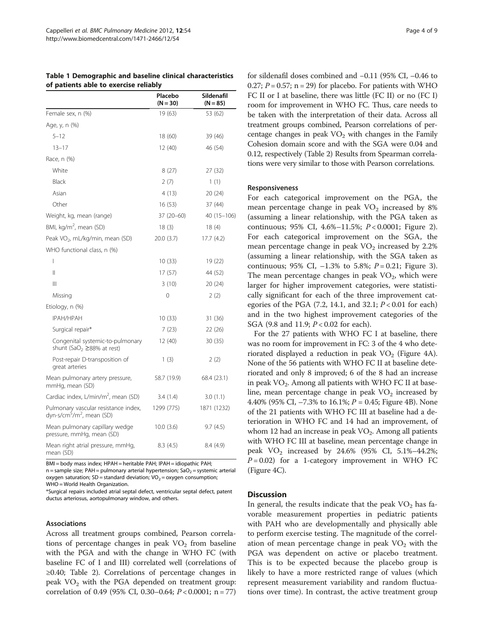|                                                                                           | Placebo<br>$(N = 30)$ | Sildenafil<br>$(N = 85)$ |
|-------------------------------------------------------------------------------------------|-----------------------|--------------------------|
| Female sex, n (%)                                                                         | 19 (63)               | 53 (62)                  |
| Age, y, n (%)                                                                             |                       |                          |
| $5 - 12$                                                                                  | 18 (60)               | 39 (46)                  |
| $13 - 17$                                                                                 | 12 (40)               | 46 (54)                  |
| Race, n (%)                                                                               |                       |                          |
| White                                                                                     | 8 (27)                | 27 (32)                  |
| <b>Black</b>                                                                              | 2(7)                  | 1(1)                     |
| Asian                                                                                     | 4 (13)                | 20 (24)                  |
| Other                                                                                     | 16(53)                | 37 (44)                  |
| Weight, kg, mean (range)                                                                  | 37 (20-60)            | 40 (15-106)              |
| BMI, kg/m <sup>2</sup> , mean (SD)                                                        | 18(3)                 | 18(4)                    |
| Peak VO <sub>2</sub> , mL/kg/min, mean (SD)                                               | 20.0(3.7)             | 17.7 (4.2)               |
| WHO functional class, n (%)                                                               |                       |                          |
| I                                                                                         | 10(33)                | 19 (22)                  |
| $\mathbf{  }$                                                                             | 17 (57)               | 44 (52)                  |
| Ш                                                                                         | 3(10)                 | 20 (24)                  |
| Missing                                                                                   | 0                     | 2(2)                     |
| Etiology, n (%)                                                                           |                       |                          |
| IPAH/HPAH                                                                                 | 10(33)                | 31 (36)                  |
| Surgical repair*                                                                          | 7(23)                 | 22 (26)                  |
| Congenital systemic-to-pulmonary<br>shunt (SaO <sub>2</sub> $\geq$ 88% at rest)           | 12 (40)               | 30 (35)                  |
| Post-repair D-transposition of<br>great arteries                                          | 1(3)                  | 2(2)                     |
| Mean pulmonary artery pressure,<br>mmHg, mean (SD)                                        | 58.7 (19.9)           | 68.4 (23.1)              |
| Cardiac index, L/min/m <sup>2</sup> , mean (SD)                                           | 3.4(1.4)              | 3.0(1.1)                 |
| Pulmonary vascular resistance index,<br>dyn·s/cm <sup>5</sup> /m <sup>2</sup> , mean (SD) | 1299 (775)            | 1871 (1232)              |
| Mean pulmonary capillary wedge<br>pressure, mmHg, mean (SD)                               | 10.0(3.6)             | 9.7(4.5)                 |
| Mean right atrial pressure, mmHg,<br>mean (SD)                                            | 8.3(4.5)              | 8.4(4.9)                 |

<span id="page-3-0"></span>Table 1 Demographic and baseline clinical characteristics of patients able to exercise reliably

BMI = body mass index; HPAH = heritable PAH; IPAH = idiopathic PAH;

 $n =$ sample size; PAH = pulmonary arterial hypertension; SaO<sub>2</sub> = systemic arterial oxygen saturation; SD = standard deviation;  $VO<sub>2</sub> =$  oxygen consumption; WHO = World Health Organization.

\*Surgical repairs included atrial septal defect, ventricular septal defect, patent ductus arteriosus, aortopulmonary window, and others.

## Associations

Across all treatment groups combined, Pearson correlations of percentage changes in peak  $VO<sub>2</sub>$  from baseline with the PGA and with the change in WHO FC (with baseline FC of I and III) correlated well (correlations of ≥0.40; Table [2](#page-4-0)). Correlations of percentage changes in peak  $VO<sub>2</sub>$  with the PGA depended on treatment group: correlation of 0.49 (95% CI, 0.30–0.64; P < 0.0001; n = 77)

for sildenafil doses combined and −0.11 (95% CI, –0.46 to 0.27;  $P = 0.57$ ; n = 29) for placebo. For patients with WHO FC II or I at baseline, there was little (FC II) or no (FC I) room for improvement in WHO FC. Thus, care needs to be taken with the interpretation of their data. Across all treatment groups combined, Pearson correlations of percentage changes in peak  $VO<sub>2</sub>$  with changes in the Family Cohesion domain score and with the SGA were 0.04 and 0.12, respectively (Table [2\)](#page-4-0) Results from Spearman correlations were very similar to those with Pearson correlations.

#### Responsiveness

For each categorical improvement on the PGA, the mean percentage change in peak  $VO<sub>2</sub>$  increased by 8% (assuming a linear relationship, with the PGA taken as continuous; 95% CI, 4.6%–11.5%; P < 0.0001; Figure [2](#page-5-0)). For each categorical improvement on the SGA, the mean percentage change in peak  $VO<sub>2</sub>$  increased by 2.2% (assuming a linear relationship, with the SGA taken as continuous; 95% CI,  $-1.3%$  to 5.8%;  $P = 0.21$ ; Figure [3](#page-5-0)). The mean percentage changes in peak  $VO<sub>2</sub>$ , which were larger for higher improvement categories, were statistically significant for each of the three improvement categories of the PGA  $(7.2, 14.1,$  and  $32.1; P < 0.01$  for each) and in the two highest improvement categories of the SGA (9.8 and 11.9; *P* < 0.02 for each).

For the 27 patients with WHO FC I at baseline, there was no room for improvement in FC: 3 of the 4 who deteriorated displayed a reduction in peak  $VO<sub>2</sub>$  (Figure [4A](#page-6-0)). None of the 56 patients with WHO FC II at baseline deteriorated and only 8 improved; 6 of the 8 had an increase in peak VO<sub>2</sub>. Among all patients with WHO FC II at baseline, mean percentage change in peak  $VO<sub>2</sub>$  increased by 4.40% (95% CI,  $-7.3%$  to 16.1%;  $P = 0.45$ ; Figure [4B\)](#page-6-0). None of the 21 patients with WHO FC III at baseline had a deterioration in WHO FC and 14 had an improvement, of whom 12 had an increase in peak  $VO<sub>2</sub>$ . Among all patients with WHO FC III at baseline, mean percentage change in peak  $VO_2$  increased by 24.6% (95% CI, 5.1%–44.2%;  $P = 0.02$ ) for a 1-category improvement in WHO FC (Figure [4C](#page-6-0)).

#### **Discussion**

In general, the results indicate that the peak  $VO<sub>2</sub>$  has favorable measurement properties in pediatric patients with PAH who are developmentally and physically able to perform exercise testing. The magnitude of the correlation of mean percentage change in peak  $VO<sub>2</sub>$  with the PGA was dependent on active or placebo treatment. This is to be expected because the placebo group is likely to have a more restricted range of values (which represent measurement variability and random fluctuations over time). In contrast, the active treatment group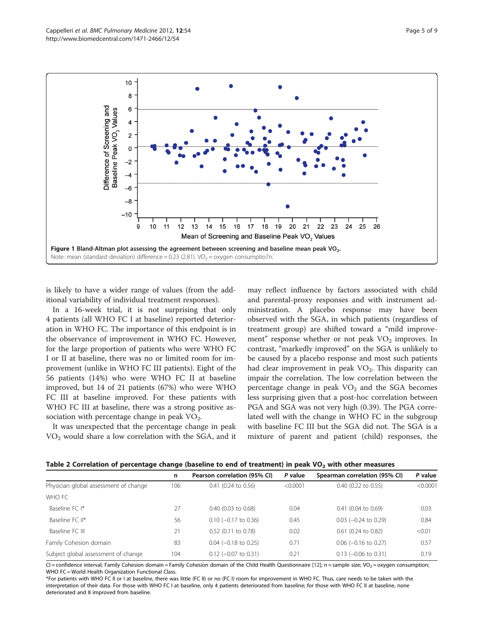<span id="page-4-0"></span>

is likely to have a wider range of values (from the additional variability of individual treatment responses).

In a 16-week trial, it is not surprising that only 4 patients (all WHO FC I at baseline) reported deterioration in WHO FC. The importance of this endpoint is in the observance of improvement in WHO FC. However, for the large proportion of patients who were WHO FC I or II at baseline, there was no or limited room for improvement (unlike in WHO FC III patients). Eight of the 56 patients (14%) who were WHO FC II at baseline improved, but 14 of 21 patients (67%) who were WHO FC III at baseline improved. For these patients with WHO FC III at baseline, there was a strong positive association with percentage change in peak  $VO<sub>2</sub>$ .

It was unexpected that the percentage change in peak VO2 would share a low correlation with the SGA, and it

may reflect influence by factors associated with child and parental-proxy responses and with instrument administration. A placebo response may have been observed with the SGA, in which patients (regardless of treatment group) are shifted toward a "mild improvement" response whether or not peak  $VO<sub>2</sub>$  improves. In contrast, "markedly improved" on the SGA is unlikely to be caused by a placebo response and most such patients had clear improvement in peak  $VO<sub>2</sub>$ . This disparity can impair the correlation. The low correlation between the percentage change in peak  $VO<sub>2</sub>$  and the SGA becomes less surprising given that a post-hoc correlation between PGA and SGA was not very high (0.39). The PGA correlated well with the change in WHO FC in the subgroup with baseline FC III but the SGA did not. The SGA is a mixture of parent and patient (child) responses, the

| Table 2 Correlation of percentage change (baseline to end of treatment) in peak VO <sub>2</sub> with other measures |  |  |
|---------------------------------------------------------------------------------------------------------------------|--|--|
|---------------------------------------------------------------------------------------------------------------------|--|--|

|                                       | n   | Pearson correlation (95% CI) | P value  | Spearman correlation (95% CI) | P value  |
|---------------------------------------|-----|------------------------------|----------|-------------------------------|----------|
| Physician global assessment of change | 106 | $0.41$ (0.24 to 0.56)        | < 0.0001 | 0.40 (0.22 to 0.55)           | < 0.0001 |
| WHO FC                                |     |                              |          |                               |          |
| Baseline FC I*                        | 27  | $0.40$ (0.03 to 0.68)        | 0.04     | $0.41$ (0.04 to 0.69)         | 0.03     |
| Baseline FC II*                       | 56  | $0.10$ (-0.17 to 0.36)       | 0.45     | $0.03$ (-0.24 to 0.29)        | 0.84     |
| Baseline FC III                       | 21  | $0.52$ (0.11 to 0.78)        | 0.02     | $0.61$ (0.24 to 0.82)         | < 0.01   |
| Family Cohesion domain                | 83  | $0.04$ (-0.18 to 0.25)       | 0.71     | $0.06$ (-0.16 to 0.27)        | 0.57     |
| Subject global assessment of change   | 104 | $0.12$ (-0.07 to 0.31)       | 0.21     | $0.13$ (-0.06 to 0.31)        | 0.19     |

 $CI =$ confidence interval; Family Cohesion domain = Family Cohesion domain of the Child Health Questionnaire [\[12\]](#page-8-0); n = sample size; VO<sub>2</sub> = oxygen consumption; WHO FC = World Health Organization Functional Class.

\*For patients with WHO FC II or I at baseline, there was little (FC II) or no (FC I) room for improvement in WHO FC. Thus, care needs to be taken with the interpretation of their data. For those with WHO FC I at baseline, only 4 patients deteriorated from baseline; for those with WHO FC II at baseline, none deteriorated and 8 improved from baseline.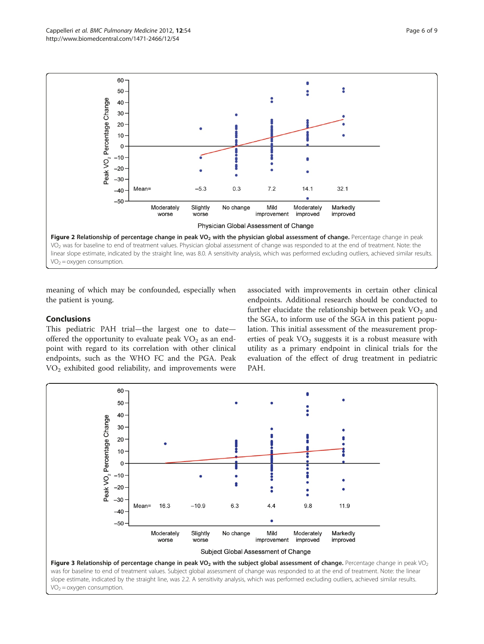<span id="page-5-0"></span>

meaning of which may be confounded, especially when the patient is young.

## Conclusions

This pediatric PAH trial—the largest one to date offered the opportunity to evaluate peak  $VO<sub>2</sub>$  as an endpoint with regard to its correlation with other clinical endpoints, such as the WHO FC and the PGA. Peak VO2 exhibited good reliability, and improvements were associated with improvements in certain other clinical endpoints. Additional research should be conducted to further elucidate the relationship between peak  $VO<sub>2</sub>$  and the SGA, to inform use of the SGA in this patient population. This initial assessment of the measurement properties of peak  $VO<sub>2</sub>$  suggests it is a robust measure with utility as a primary endpoint in clinical trials for the evaluation of the effect of drug treatment in pediatric PAH.

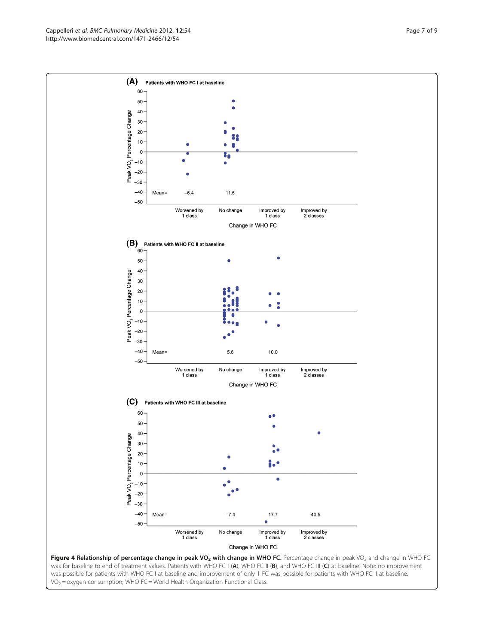<span id="page-6-0"></span>Cappelleri et al. BMC Pulmonary Medicine 2012, 12:54 Page 7 of 9 http://www.biomedcentral.com/1471-2466/12/54



 $VO<sub>2</sub> =$  oxygen consumption; WHO FC = World Health Organization Functional Class.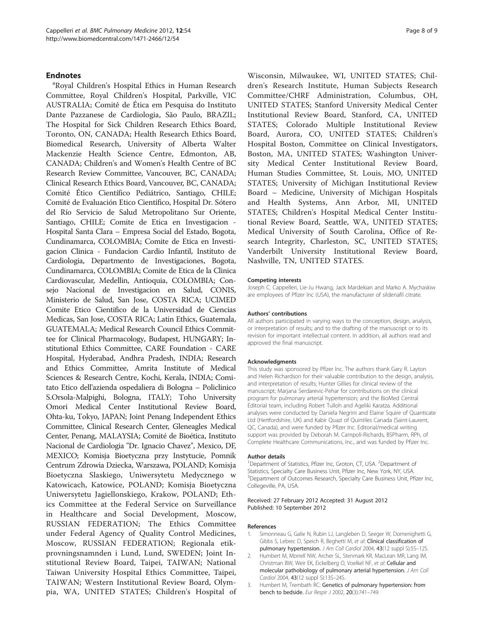## <span id="page-7-0"></span>**Endnotes**

Royal Children's Hospital Ethics in Human Research Committee, Royal Children's Hospital, Parkville, VIC AUSTRALIA; Comitê de Ética em Pesquisa do Instituto Dante Pazzanese de Cardiologia, São Paulo, BRAZIL; The Hospital for Sick Children Research Ethics Board, Toronto, ON, CANADA; Health Research Ethics Board, Biomedical Research, University of Alberta Walter Mackenzie Health Science Centre, Edmonton, AB, CANADA; Children's and Women's Health Centre of BC Research Review Committee, Vancouver, BC, CANADA; Clinical Research Ethics Board, Vancouver, BC, CANADA; Comité Ético Científico Pediátrico, Santiago, CHILE; Comité de Evaluación Etico Científico, Hospital Dr. Sótero del Río Servicio de Salud Metropolitano Sur Oriente, Santiago, CHILE; Comite de Etica en Investigacion - Hospital Santa Clara – Empresa Social del Estado, Bogota, Cundinamarca, COLOMBIA; Comite de Etica en Investigacion Clinica - Fundacion Cardio Infantil, Instituto de Cardiologia, Departmento de Investigaciones, Bogota, Cundinamarca, COLOMBIA; Comite de Etica de la Clinica Cardiovascular, Medellin, Antioquia, COLOMBIA; Consejo Nacional de Investigacion en Salud, CONIS, Ministerio de Salud, San Jose, COSTA RICA; UCIMED Comite Etico Cientifico de la Universidad de Ciencias Medicas, San Jose, COSTA RICA; Latin Ethics, Guatemala, GUATEMALA; Medical Research Council Ethics Committee for Clinical Pharmacology, Budapest, HUNGARY; Institutional Ethics Committee, CARE Foundation - CARE Hospital, Hyderabad, Andhra Pradesh, INDIA; Research and Ethics Committee, Amrita Institute of Medical Sciences & Research Centre, Kochi, Kerala, INDIA; Comitato Etico dell'azienda ospedaliera di Bologna – Policlinico S.Orsola-Malpighi, Bologna, ITALY; Toho University Omori Medical Center Institutional Review Board, Ohta-ku, Tokyo, JAPAN; Joint Penang Independent Ethics Committee, Clinical Research Center, Gleneagles Medical Center, Penang, MALAYSIA; Comité de Bioética, Instituto Nacional de Cardiologia "Dr. Ignacio Chavez", Mexico, DF, MEXICO; Komisja Bioetyczna przy Instytucie, Pomnik Centrum Zdrowia Dziecka, Warszawa, POLAND; Komisja Bioetyczna Slaskiego, Uniwersytetu Medycznego w Katowicach, Katowice, POLAND; Komisja Bioetyczna Uniwersytetu Jagiellonskiego, Krakow, POLAND; Ethics Committee at the Federal Service on Surveillance in Healthcare and Social Development, Moscow, RUSSIAN FEDERATION; The Ethics Committee under Federal Agency of Quality Control Medicines, Moscow, RUSSIAN FEDERATION; Regionala etikprovningsnamnden i Lund, Lund, SWEDEN; Joint Institutional Review Board, Taipei, TAIWAN; National Taiwan University Hospital Ethics Committee, Taipei, TAIWAN; Western Institutional Review Board, Olympia, WA, UNITED STATES; Children's Hospital of

Wisconsin, Milwaukee, WI, UNITED STATES; Children's Research Institute, Human Subjects Research Committee/CHRF Administration, Columbus, OH, UNITED STATES; Stanford University Medical Center Institutional Review Board, Stanford, CA, UNITED STATES; Colorado Multiple Institutional Review Board, Aurora, CO, UNITED STATES; Children's Hospital Boston, Committee on Clinical Investigators, Boston, MA, UNITED STATES; Washington University Medical Center Institutional Review Board, Human Studies Committee, St. Louis, MO, UNITED STATES; University of Michigan Institutional Review Board – Medicine, University of Michigan Hospitals and Health Systems, Ann Arbor, MI, UNITED STATES; Children's Hospital Medical Center Institutional Review Board, Seattle, WA, UNITED STATES; Medical University of South Carolina, Office of Research Integrity, Charleston, SC, UNITED STATES; Vanderbilt University Institutional Review Board, Nashville, TN, UNITED STATES.

#### Competing interests

Joseph C. Cappelleri, Lie-Ju Hwang, Jack Mardekian and Marko A. Mychaskiw are employees of Pfizer Inc (USA), the manufacturer of sildenafil citrate.

#### Authors' contributions

All authors participated in varying ways to the conception, design, analysis, or interpretation of results; and to the drafting of the manuscript or to its revision for important intellectual content. In addition, all authors read and approved the final manuscript.

#### Acknowledgments

This study was sponsored by Pfizer Inc. The authors thank Gary R. Layton and Helen Richardson for their valuable contribution to the design, analysis, and interpretation of results; Hunter Gillies for clinical review of the manuscript; Marjana Serdarevic-Pehar for contributions on the clinical program for pulmonary arterial hypertension; and the BioMed Central Editorial team, including Robert Tulloh and Ageliki Karatza. Additional analyses were conducted by Daniela Negrini and Elaine Squire of Quanticate Ltd (Hertfordshire, UK) and Kabir Quazi of Quintiles Canada (Saint-Laurent, QC, Canada), and were funded by Pfizer Inc. Editorial/medical writing support was provided by Deborah M. Campoli-Richards, BSPharm, RPh, of Complete Healthcare Communications, Inc., and was funded by Pfizer Inc.

#### Author details

<sup>1</sup>Department of Statistics, Pfizer Inc, Groton, CT, USA. <sup>2</sup>Department of Statistics, Specialty Care Business Unit, Pfizer Inc, New York, NY, USA. <sup>3</sup>Department of Outcomes Research, Specialty Care Business Unit, Pfizer Inc Collegeville, PA, USA.

Received: 27 February 2012 Accepted: 31 August 2012 Published: 10 September 2012

#### References

- 1. Simonneau G, Galie N, Rubin LJ, Langleben D, Seeger W, Domenighetti G, Gibbs S, Lebrec D, Speich R, Beghetti M, et al: Clinical classification of pulmonary hypertension. J Am Coll Cardiol 2004, 43(12 suppl S):5S-12S.
- 2. Humbert M, Morrell NW, Archer SL, Stenmark KR, MacLean MR, Lang IM, Christman BW, Weir EK, Eickelberg O, Voelkel NF, et al: Cellular and molecular pathobiology of pulmonary arterial hypertension. J Am Coll Cardiol 2004, 43(12 suppl S):13S–24S.
- 3. Humbert M, Trembath RC: Genetics of pulmonary hypertension: from bench to bedside. Eur Respir J 2002, 20(3):741–749.